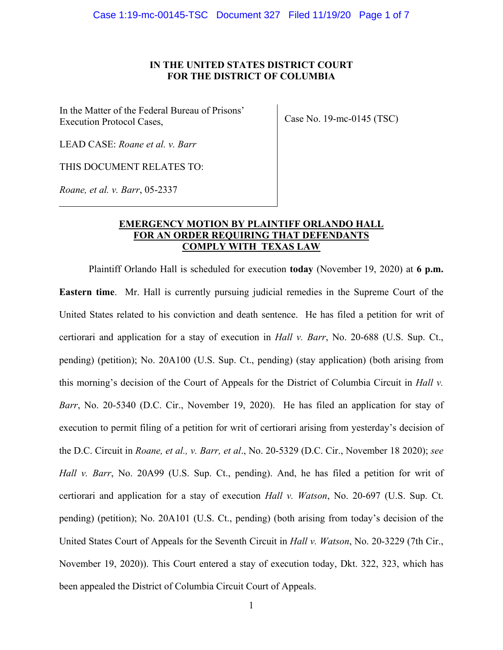### **IN THE UNITED STATES DISTRICT COURT FOR THE DISTRICT OF COLUMBIA**

In the Matter of the Federal Bureau of Prisons' Execution Protocol Cases,

Case No. 19-mc-0145 (TSC)

LEAD CASE: *Roane et al. v. Barr*

THIS DOCUMENT RELATES TO:

*Roane, et al. v. Barr*, 05-2337

# **EMERGENCY MOTION BY PLAINTIFF ORLANDO HALL FOR AN ORDER REQUIRING THAT DEFENDANTS COMPLY WITH TEXAS LAW**

Plaintiff Orlando Hall is scheduled for execution **today** (November 19, 2020) at **6 p.m. Eastern time**. Mr. Hall is currently pursuing judicial remedies in the Supreme Court of the United States related to his conviction and death sentence. He has filed a petition for writ of certiorari and application for a stay of execution in *Hall v. Barr*, No. 20-688 (U.S. Sup. Ct., pending) (petition); No. 20A100 (U.S. Sup. Ct., pending) (stay application) (both arising from this morning's decision of the Court of Appeals for the District of Columbia Circuit in *Hall v. Barr*, No. 20-5340 (D.C. Cir., November 19, 2020). He has filed an application for stay of execution to permit filing of a petition for writ of certiorari arising from yesterday's decision of the D.C. Circuit in *Roane, et al., v. Barr, et al*., No. 20-5329 (D.C. Cir., November 18 2020); *see Hall v. Barr*, No. 20A99 (U.S. Sup. Ct., pending). And, he has filed a petition for writ of certiorari and application for a stay of execution *Hall v. Watson*, No. 20-697 (U.S. Sup. Ct. pending) (petition); No. 20A101 (U.S. Ct., pending) (both arising from today's decision of the United States Court of Appeals for the Seventh Circuit in *Hall v. Watson*, No. 20-3229 (7th Cir., November 19, 2020)). This Court entered a stay of execution today, Dkt. 322, 323, which has been appealed the District of Columbia Circuit Court of Appeals.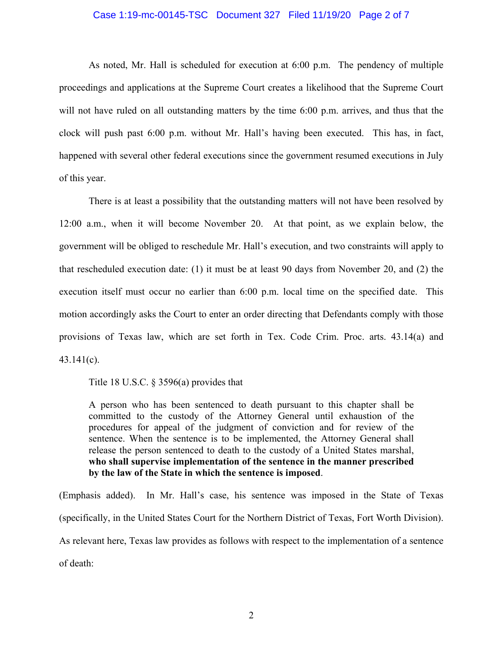# Case 1:19-mc-00145-TSC Document 327 Filed 11/19/20 Page 2 of 7

As noted, Mr. Hall is scheduled for execution at 6:00 p.m. The pendency of multiple proceedings and applications at the Supreme Court creates a likelihood that the Supreme Court will not have ruled on all outstanding matters by the time 6:00 p.m. arrives, and thus that the clock will push past 6:00 p.m. without Mr. Hall's having been executed. This has, in fact, happened with several other federal executions since the government resumed executions in July of this year.

There is at least a possibility that the outstanding matters will not have been resolved by 12:00 a.m., when it will become November 20. At that point, as we explain below, the government will be obliged to reschedule Mr. Hall's execution, and two constraints will apply to that rescheduled execution date: (1) it must be at least 90 days from November 20, and (2) the execution itself must occur no earlier than 6:00 p.m. local time on the specified date. This motion accordingly asks the Court to enter an order directing that Defendants comply with those provisions of Texas law, which are set forth in Tex. Code Crim. Proc. arts. 43.14(a) and 43.141(c).

Title 18 U.S.C.  $\S$  3596(a) provides that

A person who has been sentenced to death pursuant to this chapter shall be committed to the custody of the Attorney General until exhaustion of the procedures for appeal of the judgment of conviction and for review of the sentence. When the sentence is to be implemented, the Attorney General shall release the person sentenced to death to the custody of a United States marshal, **who shall supervise implementation of the sentence in the manner prescribed by the law of the State in which the sentence is imposed**.

(Emphasis added). In Mr. Hall's case, his sentence was imposed in the State of Texas (specifically, in the United States Court for the Northern District of Texas, Fort Worth Division). As relevant here, Texas law provides as follows with respect to the implementation of a sentence of death: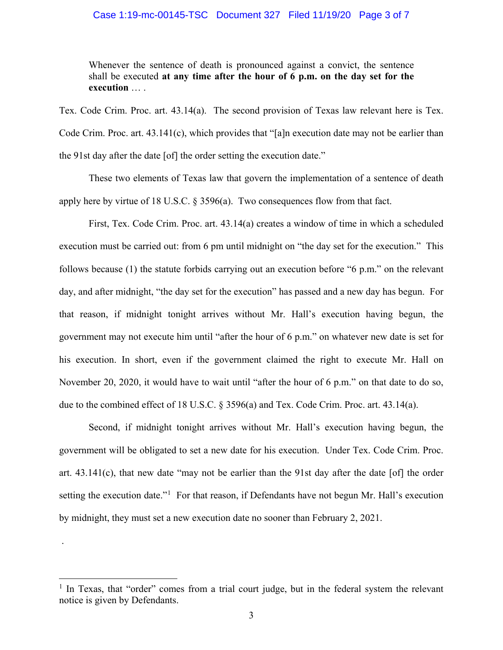#### Case 1:19-mc-00145-TSC Document 327 Filed 11/19/20 Page 3 of 7

Whenever the sentence of death is pronounced against a convict, the sentence shall be executed **at any time after the hour of 6 p.m. on the day set for the execution** … .

Tex. Code Crim. Proc. art. 43.14(a). The second provision of Texas law relevant here is Tex. Code Crim. Proc. art. 43.141(c), which provides that "[a]n execution date may not be earlier than the 91st day after the date [of] the order setting the execution date."

These two elements of Texas law that govern the implementation of a sentence of death apply here by virtue of 18 U.S.C.  $\S$  3596(a). Two consequences flow from that fact.

First, Tex. Code Crim. Proc. art. 43.14(a) creates a window of time in which a scheduled execution must be carried out: from 6 pm until midnight on "the day set for the execution." This follows because (1) the statute forbids carrying out an execution before "6 p.m." on the relevant day, and after midnight, "the day set for the execution" has passed and a new day has begun. For that reason, if midnight tonight arrives without Mr. Hall's execution having begun, the government may not execute him until "after the hour of 6 p.m." on whatever new date is set for his execution. In short, even if the government claimed the right to execute Mr. Hall on November 20, 2020, it would have to wait until "after the hour of 6 p.m." on that date to do so, due to the combined effect of 18 U.S.C. § 3596(a) and Tex. Code Crim. Proc. art. 43.14(a).

Second, if midnight tonight arrives without Mr. Hall's execution having begun, the government will be obligated to set a new date for his execution. Under Tex. Code Crim. Proc. art. 43.141(c), that new date "may not be earlier than the 91st day after the date [of] the order setting the execution date.<sup>"[1](#page-2-0)</sup> For that reason, if Defendants have not begun Mr. Hall's execution by midnight, they must set a new execution date no sooner than February 2, 2021.

.

<span id="page-2-0"></span> $1$  In Texas, that "order" comes from a trial court judge, but in the federal system the relevant notice is given by Defendants.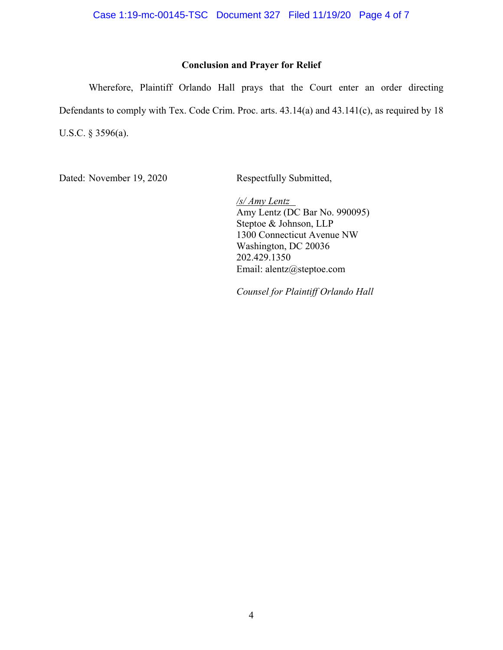Case 1:19-mc-00145-TSC Document 327 Filed 11/19/20 Page 4 of 7

## **Conclusion and Prayer for Relief**

Wherefore, Plaintiff Orlando Hall prays that the Court enter an order directing Defendants to comply with Tex. Code Crim. Proc. arts. 43.14(a) and 43.141(c), as required by 18 U.S.C. § 3596(a).

Dated: November 19, 2020 Respectfully Submitted,

*/s/ Amy Lentz* Amy Lentz (DC Bar No. 990095) Steptoe & Johnson, LLP 1300 Connecticut Avenue NW Washington, DC 20036 202.429.1350 Email: alentz@steptoe.com

*Counsel for Plaintiff Orlando Hall*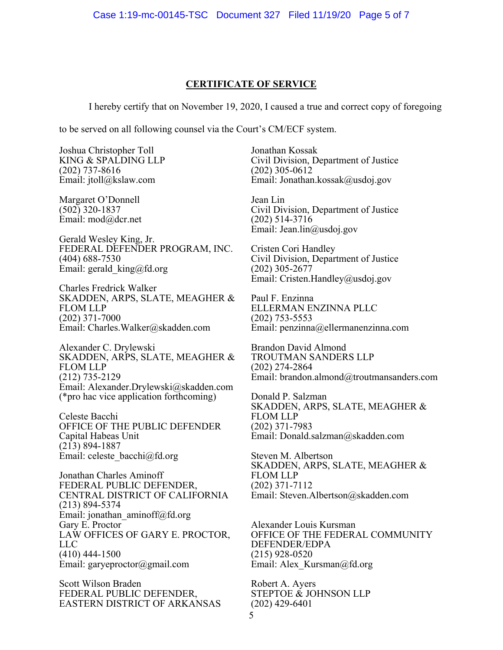#### **CERTIFICATE OF SERVICE**

I hereby certify that on November 19, 2020, I caused a true and correct copy of foregoing

to be served on all following counsel via the Court's CM/ECF system.

Joshua Christopher Toll KING & SPALDING LLP (202) 737-8616 Email: [jtoll@kslaw.com](mailto:jtoll@kslaw.com)

Margaret O'Donnell (502) 320-1837 Email: [mod@dcr.net](mailto:mod@dcr.net)

Gerald Wesley King, Jr. FEDERAL DEFENDER PROGRAM, INC. (404) 688-7530 Email: gerald king@fd.org

Charles Fredrick Walker SKADDEN, ARPS, SLATE, MEAGHER & FLOM LLP (202) 371-7000 Email: [Charles.Walker@skadden.com](mailto:Charles.Walker@skadden.com)

Alexander C. Drylewski SKADDEN, ARPS, SLATE, MEAGHER & FLOM LLP (212) 735-2129 Email: Alexander.Drylewski@skadden.com (\*pro hac vice application forthcoming)

Celeste Bacchi OFFICE OF THE PUBLIC DEFENDER Capital Habeas Unit (213) 894-1887 Email: [celeste\\_bacchi@fd.org](mailto:celeste_bacchi@fd.org)

Jonathan Charles Aminoff FEDERAL PUBLIC DEFENDER, CENTRAL DISTRICT OF CALIFORNIA (213) 894-5374 Email: [jonathan\\_aminoff@fd.org](mailto:jonathan_aminoff@fd.org) Gary E. Proctor LAW OFFICES OF GARY E. PROCTOR, LLC (410) 444-1500 Email: [garyeproctor@gmail.com](mailto:garyeproctor@gmail.com)

Scott Wilson Braden FEDERAL PUBLIC DEFENDER, EASTERN DISTRICT OF ARKANSAS

Jonathan Kossak Civil Division, Department of Justice (202) 305-0612 Email: Jonathan.kossak@usdoj.gov

Jean Lin Civil Division, Department of Justice (202) 514-3716 Email: Jean.lin@usdoj.gov

Cristen Cori Handley Civil Division, Department of Justice (202) 305-2677 Email: Cristen.Handley@usdoj.gov

Paul F. Enzinna ELLERMAN ENZINNA PLLC (202) 753-5553 Email: [penzinna@ellermanenzinna.com](mailto:penzinna@ellermanenzinna.com)

Brandon David Almond TROUTMAN SANDERS LLP (202) 274-2864 Email: [brandon.almond@troutmansanders.com](mailto:brandon.almond@troutmansanders.com)

Donald P. Salzman SKADDEN, ARPS, SLATE, MEAGHER & FLOM LLP (202) 371-7983 Email: [Donald.salzman@skadden.com](mailto:Donald.salzman@skadden.com)

Steven M. Albertson SKADDEN, ARPS, SLATE, MEAGHER & FLOM LLP (202) 371-7112 Email: [Steven.Albertson@skadden.com](mailto:Steven.Albertson@skadden.com)

Alexander Louis Kursman OFFICE OF THE FEDERAL COMMUNITY DEFENDER/EDPA (215) 928-0520 Email: Alex Kursman@fd.org

Robert A. Ayers STEPTOE & JOHNSON LLP (202) 429-6401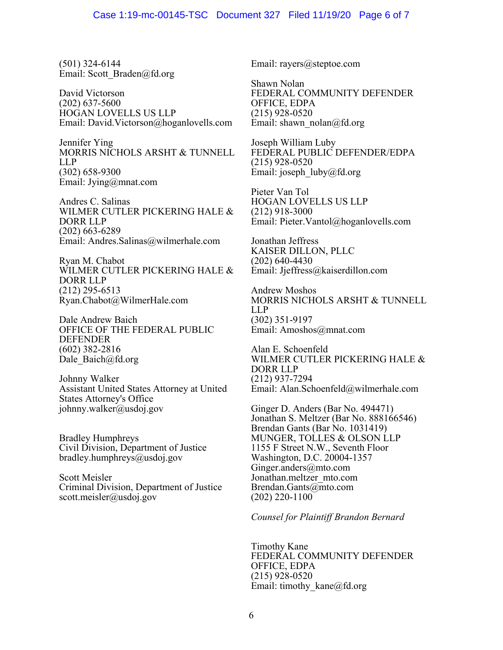(501) 324-6144 Email: [Scott\\_Braden@fd.org](mailto:Scott_Braden@fd.org)

David Victorson (202) 637-5600 HOGAN LOVELLS US LLP Email: [David.Victorson@hoganlovells.com](mailto:David.Victorson@hoganlovells.com)

Jennifer Ying MORRIS NICHOLS ARSHT & TUNNELL LLP (302) 658-9300 Email: [Jying@mnat.com](mailto:Jying@mnat.com)

Andres C. Salinas WILMER CUTLER PICKERING HALE & DORR LLP (202) 663-6289 Email: Andres.Salinas@wilmerhale.com

Ryan M. Chabot WILMER CUTLER PICKERING HALE & DORR LLP (212) 295-6513 Ryan.Chabot@WilmerHale.com

Dale Andrew Baich OFFICE OF THE FEDERAL PUBLIC DEFENDER (602) 382-2816 Dale\_Baich@fd.org

Johnny Walker Assistant United States Attorney at United States Attorney's Office johnny.walker@usdoj.gov

Bradley Humphreys Civil Division, Department of Justice bradley.humphreys@usdoj.gov

Scott Meisler Criminal Division, Department of Justice scott.meisler@usdoj.gov

Email: [rayers@steptoe.com](mailto:rayers@steptoe.com)

Shawn Nolan FEDERAL COMMUNITY DEFENDER OFFICE, EDPA (215) 928-0520 Email: shawn\_nolan@fd.org

Joseph William Luby FEDERAL PUBLIC DEFENDER/EDPA (215) 928-0520 Email: joseph\_luby@fd.org

Pieter Van Tol HOGAN LOVELLS US LLP (212) 918-3000 Email: [Pieter.Vantol@hoganlovells.com](mailto:Pieter.Vantol@hoganlovells.com)

Jonathan Jeffress KAISER DILLON, PLLC (202) 640-4430 Email: [Jjeffress@kaiserdillon.com](mailto:Jjeffress@kaiserdillon.com)

Andrew Moshos MORRIS NICHOLS ARSHT & TUNNELL LLP (302) 351-9197 Email: [Amoshos@mnat.com](mailto:Amoshos@mnat.com)

Alan E. Schoenfeld WILMER CUTLER PICKERING HALE & DORR LLP (212) 937-7294 Email: [Alan.Schoenfeld@wilmerhale.com](mailto:Alan.Schoenfeld@wilmerhale.com)

Ginger D. Anders (Bar No. 494471) Jonathan S. Meltzer (Bar No. 888166546) Brendan Gants (Bar No. 1031419) MUNGER, TOLLES & OLSON LLP 1155 F Street N.W., Seventh Floor Washington, D.C. 20004-1357 Ginger.anders@mto.com Jonathan.meltzer\_mto.com Brendan.Gants@mto.com (202) 220-1100

*Counsel for Plaintiff Brandon Bernard*

Timothy Kane FEDERAL COMMUNITY DEFENDER OFFICE, EDPA (215) 928-0520 Email: timothy\_kane@fd.org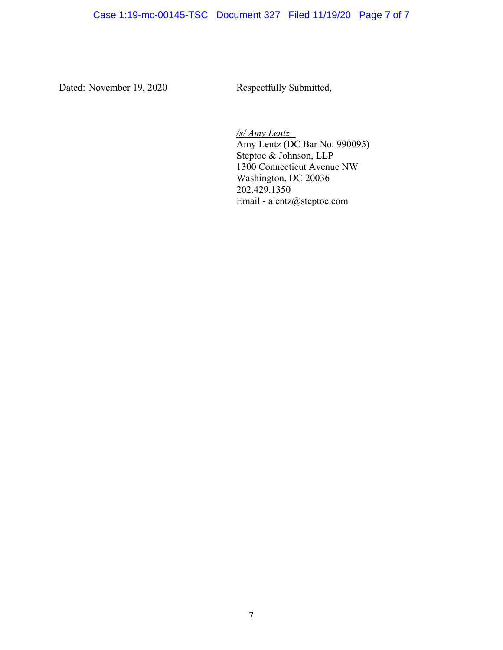Dated: November 19, 2020 Respectfully Submitted,

*/s/ Amy Lentz* Amy Lentz (DC Bar No. 990095) Steptoe & Johnson, LLP 1300 Connecticut Avenue NW Washington, DC 20036 202.429.1350 Email - alentz@steptoe.com